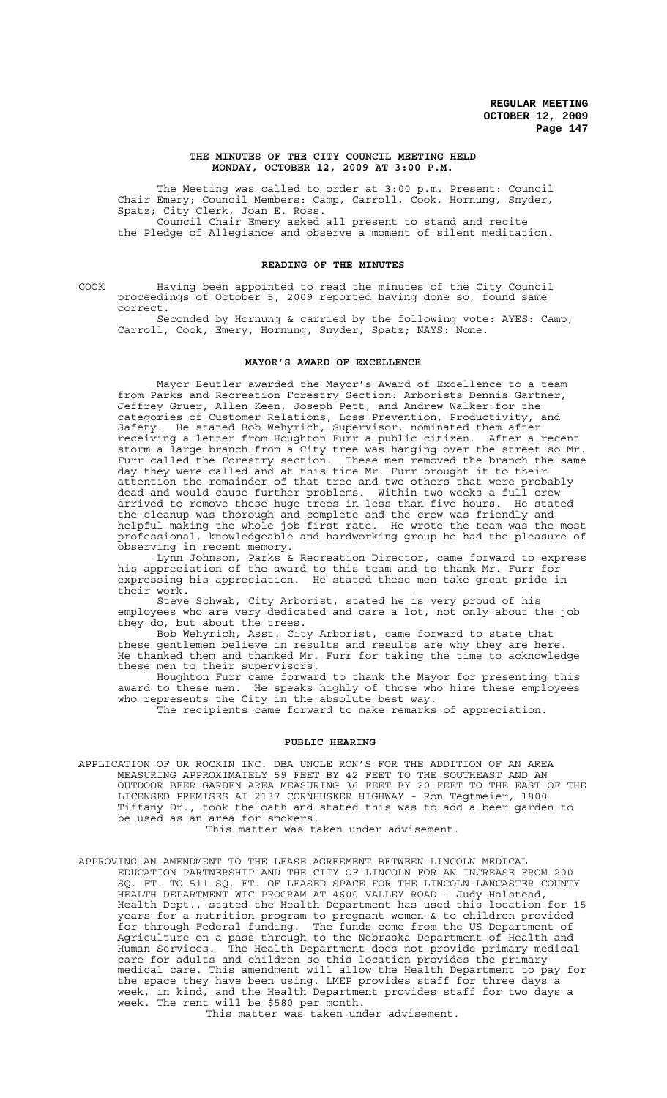#### **THE MINUTES OF THE CITY COUNCIL MEETING HELD MONDAY, OCTOBER 12, 2009 AT 3:00 P.M.**

The Meeting was called to order at 3:00 p.m. Present: Council Chair Emery; Council Members: Camp, Carroll, Cook, Hornung, Snyder, Spatz; City Clerk, Joan E. Ross. Council Chair Emery asked all present to stand and recite

the Pledge of Allegiance and observe a moment of silent meditation.

## **READING OF THE MINUTES**

COOK Having been appointed to read the minutes of the City Council proceedings of October 5, 2009 reported having done so, found same correct.

Seconded by Hornung & carried by the following vote: AYES: Camp, Carroll, Cook, Emery, Hornung, Snyder, Spatz; NAYS: None.

# **MAYOR'S AWARD OF EXCELLENCE**

Mayor Beutler awarded the Mayor's Award of Excellence to a team from Parks and Recreation Forestry Section: Arborists Dennis Gartner, Jeffrey Gruer, Allen Keen, Joseph Pett, and Andrew Walker for the categories of Customer Relations, Loss Prevention, Productivity, and Safety. He stated Bob Wehyrich, Supervisor, nominated them after receiving a letter from Houghton Furr a public citizen. After a recent storm a large branch from a City tree was hanging over the street so Mr. Furr called the Forestry section. These men removed the branch the same day they were called and at this time Mr. Furr brought it to their attention the remainder of that tree and two others that were probably dead and would cause further problems. Within two weeks a full crew arrived to remove these huge trees in less than five hours. He stated the cleanup was thorough and complete and the crew was friendly and helpful making the whole job first rate. He wrote the team was the most professional, knowledgeable and hardworking group he had the pleasure of observing in recent memory.

Lynn Johnson, Parks & Recreation Director, came forward to express his appreciation of the award to this team and to thank Mr. Furr for expressing his appreciation. He stated these men take great pride in their work.

Steve Schwab, City Arborist, stated he is very proud of his employees who are very dedicated and care a lot, not only about the job they do, but about the trees.

Bob Wehyrich, Asst. City Arborist, came forward to state that these gentlemen believe in results and results are why they are here. He thanked them and thanked Mr. Furr for taking the time to acknowledge these men to their supervisors.

Houghton Furr came forward to thank the Mayor for presenting this award to these men. He speaks highly of those who hire these employees who represents the City in the absolute best way.

The recipients came forward to make remarks of appreciation.

### **PUBLIC HEARING**

APPLICATION OF UR ROCKIN INC. DBA UNCLE RON'S FOR THE ADDITION OF AN AREA MEASURING APPROXIMATELY 59 FEET BY 42 FEET TO THE SOUTHEAST AND AN OUTDOOR BEER GARDEN AREA MEASURING 36 FEET BY 20 FEET TO THE EAST OF THE LICENSED PREMISES AT 2137 CORNHUSKER HIGHWAY - Ron Tegtmeier, 1800 Tiffany Dr., took the oath and stated this was to add a beer garden to be used as an area for smokers.

This matter was taken under advisement.

APPROVING AN AMENDMENT TO THE LEASE AGREEMENT BETWEEN LINCOLN MEDICAL EDUCATION PARTNERSHIP AND THE CITY OF LINCOLN FOR AN INCREASE FROM 200 SQ. FT. TO 511 SQ. FT. OF LEASED SPACE FOR THE LINCOLN-LANCASTER COUNTY HEALTH DEPARTMENT WIC PROGRAM AT 4600 VALLEY ROAD - Judy Halstead, Health Dept., stated the Health Department has used this location for 15 years for a nutrition program to pregnant women & to children provided for through Federal funding. The funds come from the US Department of Agriculture on a pass through to the Nebraska Department of Health and Human Services. The Health Department does not provide primary medical care for adults and children so this location provides the primary medical care. This amendment will allow the Health Department to pay for the space they have been using. LMEP provides staff for three days a week, in kind, and the Health Department provides staff for two days a week. The rent will be \$580 per month.

This matter was taken under advisement.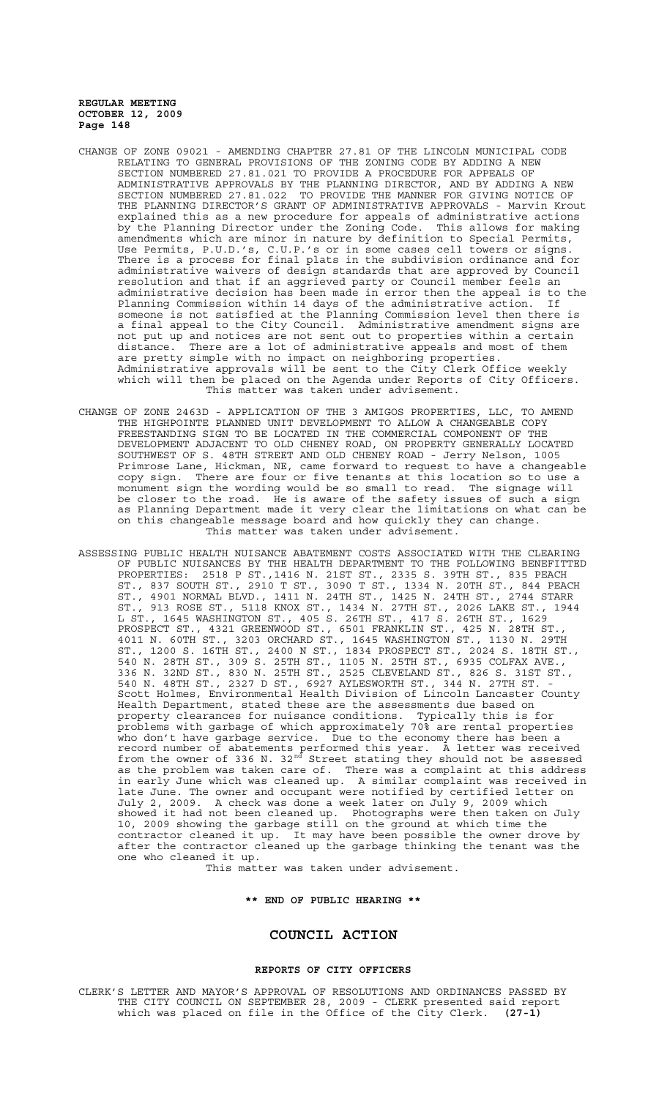- CHANGE OF ZONE 09021 AMENDING CHAPTER 27.81 OF THE LINCOLN MUNICIPAL CODE RELATING TO GENERAL PROVISIONS OF THE ZONING CODE BY ADDING A NEW SECTION NUMBERED 27.81.021 TO PROVIDE A PROCEDURE FOR APPEALS OF ADMINISTRATIVE APPROVALS BY THE PLANNING DIRECTOR, AND BY ADDING A NEW SECTION NUMBERED 27.81.022 TO PROVIDE THE MANNER FOR GIVING NOTICE OF THE PLANNING DIRECTOR'S GRANT OF ADMINISTRATIVE APPROVALS - Marvin Krout explained this as a new procedure for appeals of administrative actions by the Planning Director under the Zoning Code. This allows for making amendments which are minor in nature by definition to Special Permits, Use Permits, P.U.D.'s, C.U.P.'s or in some cases cell towers or signs. There is a process for final plats in the subdivision ordinance and for administrative waivers of design standards that are approved by Council resolution and that if an aggrieved party or Council member feels an administrative decision has been made in error then the appeal is to the Planning Commission within 14 days of the administrative action. If someone is not satisfied at the Planning Commission level then there is a final appeal to the City Council. Administrative amendment signs are not put up and notices are not sent out to properties within a certain distance. There are a lot of administrative appeals and most of them are pretty simple with no impact on neighboring properties. Administrative approvals will be sent to the City Clerk Office weekly which will then be placed on the Agenda under Reports of City Officers. This matter was taken under advisement.
- CHANGE OF ZONE 2463D APPLICATION OF THE 3 AMIGOS PROPERTIES, LLC, TO AMEND THE HIGHPOINTE PLANNED UNIT DEVELOPMENT TO ALLOW A CHANGEABLE COPY FREESTANDING SIGN TO BE LOCATED IN THE COMMERCIAL COMPONENT OF THE DEVELOPMENT ADJACENT TO OLD CHENEY ROAD, ON PROPERTY GENERALLY LOCATED SOUTHWEST OF S. 48TH STREET AND OLD CHENEY ROAD - Jerry Nelson, 1005 Primrose Lane, Hickman, NE, came forward to request to have a changeable copy sign. There are four or five tenants at this location so to use a monument sign the wording would be so small to read. The signage will be closer to the road. He is aware of the safety issues of such a sign as Planning Department made it very clear the limitations on what can be on this changeable message board and how quickly they can change. This matter was taken under advisement.
- ASSESSING PUBLIC HEALTH NUISANCE ABATEMENT COSTS ASSOCIATED WITH THE CLEARING OF PUBLIC NUISANCES BY THE HEALTH DEPARTMENT TO THE FOLLOWING BENEFITTED PROPERTIES: 2518 P ST.,1416 N. 21ST ST., 2335 S. 39TH ST., 835 PEACH ST., 837 SOUTH ST., 2910 T ST., 3090 T ST., 1334 N. 20TH ST., 844 PEACH ST., 4901 NORMAL BLVD., 1411 N. 24TH ST., 1425 N. 24TH ST., 2744 STARR ST., 913 ROSE ST., 5118 KNOX ST., 1434 N. 27TH ST., 2026 LAKE ST., 1944 L ST., 1645 WASHINGTON ST., 405 S. 26TH ST., 417 S. 26TH ST., 1629 PROSPECT ST., 4321 GREENWOOD ST., 6501 FRANKLIN ST., 425 N. 28TH ST., 4011 N. 60TH ST., 3203 ORCHARD ST., 1645 WASHINGTON ST., 1130 N. 29TH ST., 1200 S. 16TH ST., 2400 N ST., 1834 PROSPECT ST., 2024 S. 18TH ST., 540 N. 28TH ST., 309 S. 25TH ST., 1105 N. 25TH ST., 6935 COLFAX AVE., 336 N. 32ND ST., 830 N. 25TH ST., 2525 CLEVELAND ST., 826 S. 31ST ST., 540 N. 48TH ST., 2327 D ST., 6927 AYLESWORTH ST., 344 N. 27TH ST. - Scott Holmes, Environmental Health Division of Lincoln Lancaster County Health Department, stated these are the assessments due based on property clearances for nuisance conditions. Typically this is for problems with garbage of which approximately 70% are rental properties who don't have garbage service. Due to the economy there has been a record number of abatements performed this year. A letter was received from the owner of 336 N. 32 $<sup>nd</sup>$  Street stating they should not be assessed</sup> as the problem was taken care of. There was a complaint at this address in early June which was cleaned up. A similar complaint was received in late June. The owner and occupant were notified by certified letter on July 2, 2009. A check was done a week later on July 9, 2009 which showed it had not been cleaned up. Photographs were then taken on July 10, 2009 showing the garbage still on the ground at which time the contractor cleaned it up. It may have been possible the owner drove by after the contractor cleaned up the garbage thinking the tenant was the one who cleaned it up.

This matter was taken under advisement.

## **\*\* END OF PUBLIC HEARING \*\***

# **COUNCIL ACTION**

#### **REPORTS OF CITY OFFICERS**

CLERK'S LETTER AND MAYOR'S APPROVAL OF RESOLUTIONS AND ORDINANCES PASSED BY THE CITY COUNCIL ON SEPTEMBER 28, 2009 - CLERK presented said report which was placed on file in the Office of the City Clerk. **(27-1)**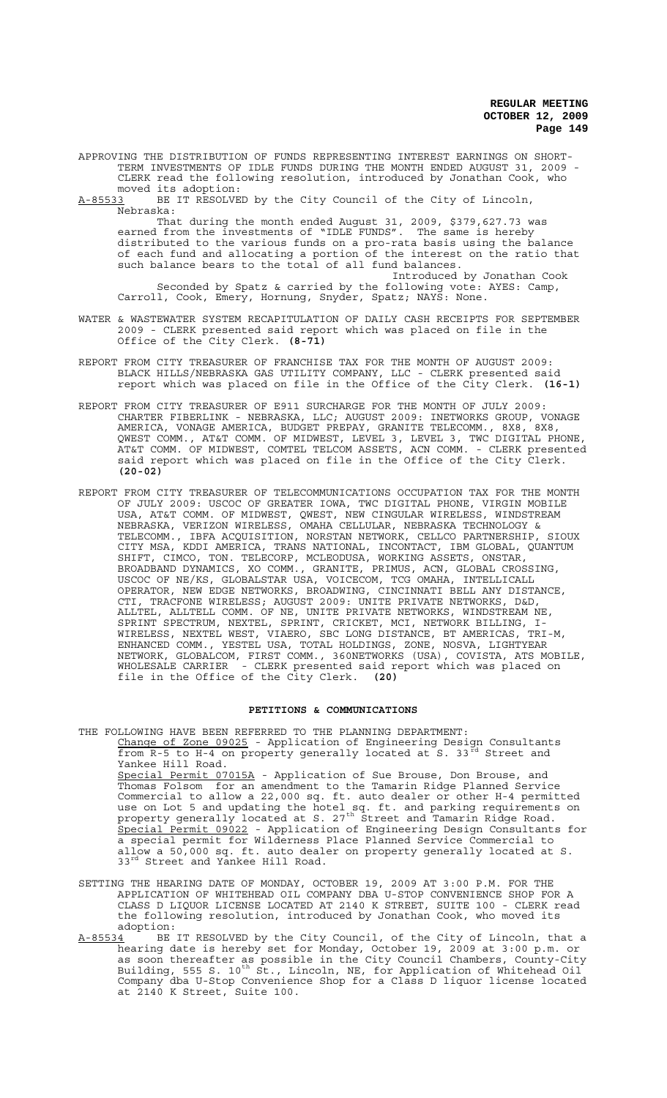APPROVING THE DISTRIBUTION OF FUNDS REPRESENTING INTEREST EARNINGS ON SHORT-TERM INVESTMENTS OF IDLE FUNDS DURING THE MONTH ENDED AUGUST 31, 2009 - CLERK read the following resolution, introduced by Jonathan Cook, who

moved its adoption:<br>A-85533 BE IT RESOLVE BE IT RESOLVED by the City Council of the City of Lincoln, Nebraska:

That during the month ended August 31, 2009, \$379,627.73 was earned from the investments of "IDLE FUNDS". The same is hereby distributed to the various funds on a pro-rata basis using the balance of each fund and allocating a portion of the interest on the ratio that such balance bears to the total of all fund balances.

Introduced by Jonathan Cook Seconded by Spatz & carried by the following vote: AYES: Camp, Carroll, Cook, Emery, Hornung, Snyder, Spatz; NAYS: None.

- WATER & WASTEWATER SYSTEM RECAPITULATION OF DAILY CASH RECEIPTS FOR SEPTEMBER 2009 - CLERK presented said report which was placed on file in the Office of the City Clerk. **(8-71)**
- REPORT FROM CITY TREASURER OF FRANCHISE TAX FOR THE MONTH OF AUGUST 2009: BLACK HILLS/NEBRASKA GAS UTILITY COMPANY, LLC - CLERK presented said report which was placed on file in the Office of the City Clerk. **(16-1)**
- REPORT FROM CITY TREASURER OF E911 SURCHARGE FOR THE MONTH OF JULY 2009:<br>CHARTER FIBERLINK NEBRASKA, LLC: AUGUST 2009: INETWORKS GROUP, VONAGE CHARTER FIBERLINK - NEBRASKA, LLC; AUGUST 2009: INETWORKS GROUP, AMERICA, VONAGE AMERICA, BUDGET PREPAY, GRANITE TELECOMM., 8X8, 8X8, QWEST COMM., AT&T COMM. OF MIDWEST, LEVEL 3, LEVEL 3, TWC DIGITAL PHONE, AT&T COMM. OF MIDWEST, COMTEL TELCOM ASSETS, ACN COMM. - CLERK presented said report which was placed on file in the Office of the City Clerk. **(20-02)**
- REPORT FROM CITY TREASURER OF TELECOMMUNICATIONS OCCUPATION TAX FOR THE MONTH OF JULY 2009: USCOC OF GREATER IOWA, TWC DIGITAL PHONE, VIRGIN MOBILE USA, AT&T COMM. OF MIDWEST, QWEST, NEW CINGULAR WIRELESS, WINDSTREAM NEBRASKA, VERIZON WIRELESS, OMAHA CELLULAR, NEBRASKA TECHNOLOGY & TELECOMM., IBFA ACQUISITION, NORSTAN NETWORK, CELLCO PARTNERSHIP, SIOUX CITY MSA, KDDI AMERICA, TRANS NATIONAL, INCONTACT, IBM GLOBAL, QUANTUM SHIFT, CIMCO, TON. TELECORP, MCLEODUSA, WORKING ASSETS, ONSTAR, BROADBAND DYNAMICS, XO COMM., GRANITE, PRIMUS, ACN, GLOBAL CROSSING, USCOC OF NE/KS, GLOBALSTAR USA, VOICECOM, TCG OMAHA, INTELLICALL OPERATOR, NEW EDGE NETWORKS, BROADWING, CINCINNATI BELL ANY DISTANCE, CTI, TRACFONE WIRELESS; AUGUST 2009: UNITE PRIVATE NETWORKS, D&D, ALLTEL, ALLTELL COMM. OF NE, UNITE PRIVATE NETWORKS, WINDSTREAM NE, SPRINT SPECTRUM, NEXTEL, SPRINT, CRICKET, MCI, NETWORK BILLING, I-WIRELESS, NEXTEL WEST, VIAERO, SBC LONG DISTANCE, BT AMERICAS, TRI-M, ENHANCED COMM., YESTEL USA, TOTAL HOLDINGS, ZONE, NOSVA, LIGHTYEAR NETWORK, GLOBALCOM, FIRST COMM., 360NETWORKS (USA), COVISTA, ATS MOBILE, WHOLESALE CARRIER - CLERK presented said report which was placed on file in the Office of the City Clerk. **(20)**

#### **PETITIONS & COMMUNICATIONS**

THE FOLLOWING HAVE BEEN REFERRED TO THE PLANNING DEPARTMENT:

Change of Zone 09025 - Application of Engineering Design Consultants from R-5 to H-4 on property generally located at S. 33<sup>rd</sup> Street and Yankee Hill Road.

Special Permit 07015A - Application of Sue Brouse, Don Brouse, Thomas Folsom for an amendment to the Tamarin Ridge Planned Service Commercial to allow a 22,000 sq. ft. auto dealer or other H-4 permitted use on Lot 5 and updating the hotel sq. ft. and parking requirements on property generally located at S. 27<sup>th</sup> Street and Tamarin Ridge Road. Special Permit 09022 - Application of Engineering Design Consultants for a special permit for Wilderness Place Planned Service Commercial to allow a 50,000 sq. ft. auto dealer on property generally located at S. 33<sup>rd</sup> Street and Yankee Hill Road.

- SETTING THE HEARING DATE OF MONDAY, OCTOBER 19, 2009 AT 3:00 P.M. FOR THE APPLICATION OF WHITEHEAD OIL COMPANY DBA U-STOP CONVENIENCE SHOP FOR A CLASS D LIQUOR LICENSE LOCATED AT 2140 K STREET, SUITE 100 - CLERK read the following resolution, introduced by Jonathan Cook, who moved its adoption:<br><u>A-85534</u> BE
- A-85534 BE IT RESOLVED by the City Council, of the City of Lincoln, that a hearing date is hereby set for Monday, October 19, 2009 at 3:00 p.m. or as soon thereafter as possible in the City Council Chambers, County-City Building, 555 S. 10<sup>th</sup> St., Lincoln, NE, for Application of Whitehead Oil Company dba U-Stop Convenience Shop for a Class D liquor license located at 2140 K Street, Suite 100.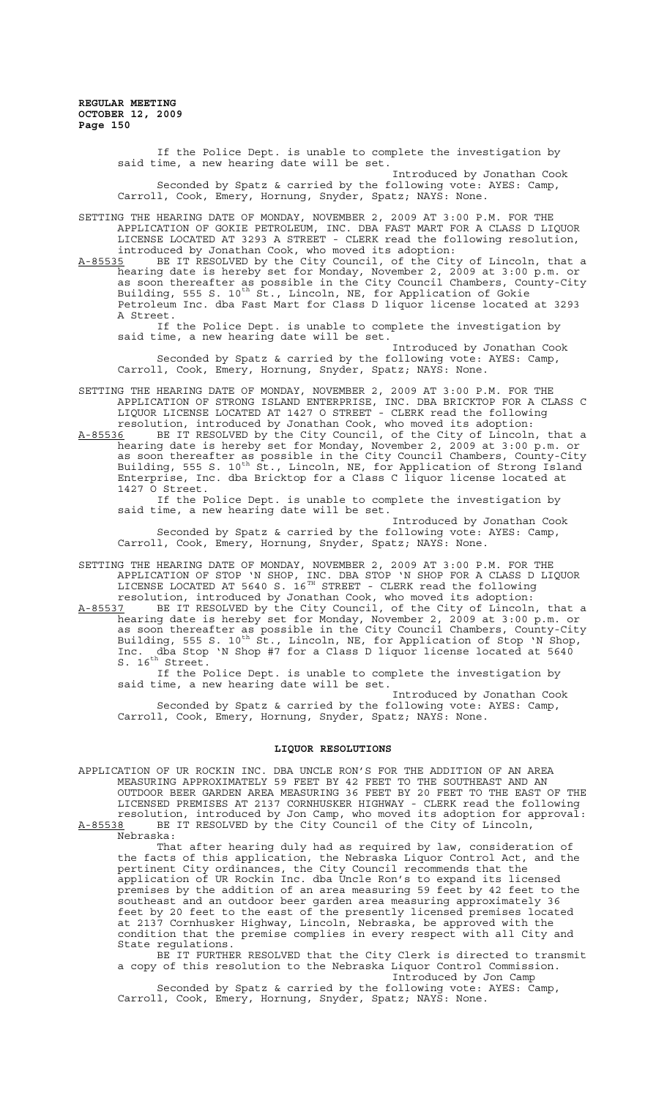> If the Police Dept. is unable to complete the investigation by said time, a new hearing date will be set. Introduced by Jonathan Cook

> Seconded by Spatz & carried by the following vote: AYES: Camp, Carroll, Cook, Emery, Hornung, Snyder, Spatz; NAYS: None.

SETTING THE HEARING DATE OF MONDAY, NOVEMBER 2, 2009 AT 3:00 P.M. FOR THE APPLICATION OF GOKIE PETROLEUM, INC. DBA FAST MART FOR A CLASS D LIQUOR LICENSE LOCATED AT 3293 A STREET - CLERK read the following resolution, introduced by Jonathan Cook, who moved its adoption:

A-85535 BE IT RESOLVED by the City Council, of the City of Lincoln, that a hearing date is hereby set for Monday, November 2, 2009 at 3:00 p.m. or as soon thereafter as possible in the City Council Chambers, County-City Building, 555 S. 10<sup>th</sup> St., Lincoln, NE, for Application of Gokie Petroleum Inc. dba Fast Mart for Class D liquor license located at 3293 A Street.

If the Police Dept. is unable to complete the investigation by said time, a new hearing date will be set.

Introduced by Jonathan Cook Seconded by Spatz & carried by the following vote: AYES: Camp, Carroll, Cook, Emery, Hornung, Snyder, Spatz; NAYS: None.

SETTING THE HEARING DATE OF MONDAY, NOVEMBER 2, 2009 AT 3:00 P.M. FOR THE APPLICATION OF STRONG ISLAND ENTERPRISE, INC. DBA BRICKTOP FOR A CLASS C LIQUOR LICENSE LOCATED AT 1427 O STREET - CLERK read the following resolution, introduced by Jonathan Cook, who moved its adoption:

A-85536 BE IT RESOLVED by the City Council, of the City of Lincoln, that a hearing date is hereby set for Monday, November 2, 2009 at 3:00 p.m. or as soon thereafter as possible in the City Council Chambers, County-City Building, 555 S. 10<sup>th</sup> St., Lincoln, NE, for Application of Strong Island Enterprise, Inc. dba Bricktop for a Class C liquor license located at 1427 O Street.<br>If the Police Dept. is unable to complete the investigation by

If the Police Dept. is unable to complete the investigation by said time, a new hearing date will be set.

Introduced by Jonathan Cook Seconded by Spatz & carried by the following vote: AYES: Camp, Carroll, Cook, Emery, Hornung, Snyder, Spatz; NAYS: None.

SETTING THE HEARING DATE OF MONDAY, NOVEMBER 2, 2009 AT 3:00 P.M. FOR THE APPLICATION OF STOP 'N SHOP, INC. DBA STOP 'N SHOP FOR A CLASS D LIQUOR LICENSE LOCATED AT 5640 S.  $16^{TH}$  STREET - CLERK read the following resolution, introduced by Jonathan Cook, who moved its adoption:

A-85537 BE IT RESOLVED by the City Council, of the City of Lincoln, that a hearing date is hereby set for Monday, November 2, 2009 at 3:00 p.m. or as soon thereafter as possible in the City Council Chambers, County-City Building, 555 S. 10<sup>th</sup> St., Lincoln, NE, for Application of Stop 'N Shop, Inc. dba Stop 'N Shop #7 for a Class D liquor license located at 5640  $S. 16<sup>th</sup> Street.$ 

If the Police Dept. is unable to complete the investigation by said time, a new hearing date will be set.

Introduced by Jonathan Cook Seconded by Spatz & carried by the following vote: AYES: Camp, Carroll, Cook, Emery, Hornung, Snyder, Spatz; NAYS: None.

#### **LIQUOR RESOLUTIONS**

APPLICATION OF UR ROCKIN INC. DBA UNCLE RON'S FOR THE ADDITION OF AN AREA MEASURING APPROXIMATELY 59 FEET BY 42 FEET TO THE SOUTHEAST AND AN OUTDOOR BEER GARDEN AREA MEASURING 36 FEET BY 20 FEET TO THE EAST OF THE LICENSED PREMISES AT 2137 CORNHUSKER HIGHWAY - CLERK read the following resolution, introduced by Jon Camp, who moved its adoption for approval: A-85538 BE IT RESOLVED by the City Council of the City of Lincoln, Nebraska:

That after hearing duly had as required by law, consideration of the facts of this application, the Nebraska Liquor Control Act, and the pertinent City ordinances, the City Council recommends that the application of UR Rockin Inc. dba Uncle Ron's to expand its licensed premises by the addition of an area measuring 59 feet by 42 feet to the southeast and an outdoor beer garden area measuring approximately 36 feet by 20 feet to the east of the presently licensed premises located at 2137 Cornhusker Highway, Lincoln, Nebraska, be approved with the condition that the premise complies in every respect with all City and State regulations.

BE IT FURTHER RESOLVED that the City Clerk is directed to transmit a copy of this resolution to the Nebraska Liquor Control Commission. Introduced by Jon Camp

Seconded by Spatz & carried by the following vote: AYES: Camp, Carroll, Cook, Emery, Hornung, Snyder, Spatz; NAYS: None.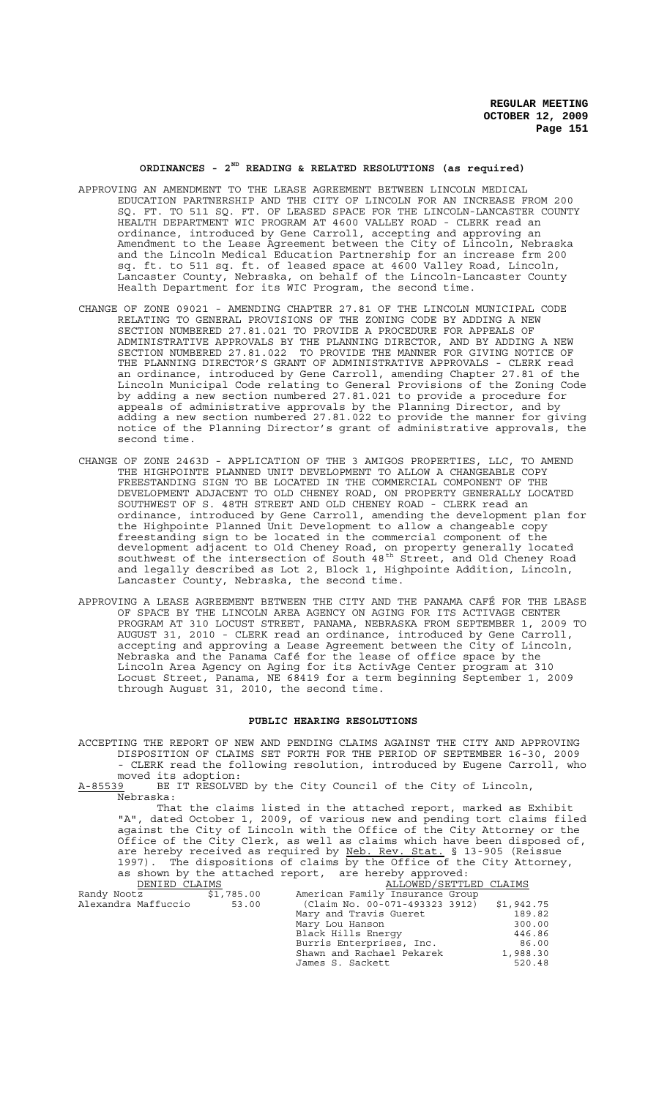## **ORDINANCES - 2ND READING & RELATED RESOLUTIONS (as required)**

- APPROVING AN AMENDMENT TO THE LEASE AGREEMENT BETWEEN LINCOLN MEDICAL EDUCATION PARTNERSHIP AND THE CITY OF LINCOLN FOR AN INCREASE FROM 200 SQ. FT. TO 511 SQ. FT. OF LEASED SPACE FOR THE LINCOLN-LANCASTER COUNTY HEALTH DEPARTMENT WIC PROGRAM AT 4600 VALLEY ROAD - CLERK read an ordinance, introduced by Gene Carroll, accepting and approving an Amendment to the Lease Agreement between the City of Lincoln, Nebraska and the Lincoln Medical Education Partnership for an increase frm 200 sq. ft. to 511 sq. ft. of leased space at 4600 Valley Road, Lincoln, Lancaster County, Nebraska, on behalf of the Lincoln-Lancaster County Health Department for its WIC Program, the second time.
- CHANGE OF ZONE 09021 AMENDING CHAPTER 27.81 OF THE LINCOLN MUNICIPAL CODE RELATING TO GENERAL PROVISIONS OF THE ZONING CODE BY ADDING A NEW SECTION NUMBERED 27.81.021 TO PROVIDE A PROCEDURE FOR APPEALS OF ADMINISTRATIVE APPROVALS BY THE PLANNING DIRECTOR, AND BY ADDING A NEW SECTION NUMBERED 27.81.022 TO PROVIDE THE MANNER FOR GIVING NOTICE OF THE PLANNING DIRECTOR'S GRANT OF ADMINISTRATIVE APPROVALS - CLERK read an ordinance, introduced by Gene Carroll, amending Chapter 27.81 of the Lincoln Municipal Code relating to General Provisions of the Zoning Code by adding a new section numbered 27.81.021 to provide a procedure for appeals of administrative approvals by the Planning Director, and by adding a new section numbered 27.81.022 to provide the manner for giving notice of the Planning Director's grant of administrative approvals, the second time.
- CHANGE OF ZONE 2463D APPLICATION OF THE 3 AMIGOS PROPERTIES, LLC, TO AMEND THE HIGHPOINTE PLANNED UNIT DEVELOPMENT TO ALLOW A CHANGEABLE COPY FREESTANDING SIGN TO BE LOCATED IN THE COMMERCIAL COMPONENT OF THE DEVELOPMENT ADJACENT TO OLD CHENEY ROAD, ON PROPERTY GENERALLY LOCATED SOUTHWEST OF S. 48TH STREET AND OLD CHENEY ROAD - CLERK read an ordinance, introduced by Gene Carroll, amending the development plan for the Highpointe Planned Unit Development to allow a changeable copy freestanding sign to be located in the commercial component of the development adjacent to Old Cheney Road, on property generally located southwest of the intersection of South 48<sup>th</sup> Street, and Old Cheney Road and legally described as Lot 2, Block 1, Highpointe Addition, Lincoln, Lancaster County, Nebraska, the second time.
- APPROVING A LEASE AGREEMENT BETWEEN THE CITY AND THE PANAMA CAFÉ FOR THE LEASE OF SPACE BY THE LINCOLN AREA AGENCY ON AGING FOR ITS ACTIVAGE CENTER PROGRAM AT 310 LOCUST STREET, PANAMA, NEBRASKA FROM SEPTEMBER 1, 2009 TO AUGUST 31, 2010 - CLERK read an ordinance, introduced by Gene Carroll, accepting and approving a Lease Agreement between the City of Lincoln, Nebraska and the Panama Café for the lease of office space by the Lincoln Area Agency on Aging for its ActivAge Center program at 310 Locust Street, Panama, NE 68419 for a term beginning September 1, 2009 through August 31, 2010, the second time.

# **PUBLIC HEARING RESOLUTIONS**

ACCEPTING THE REPORT OF NEW AND PENDING CLAIMS AGAINST THE CITY AND APPROVING DISPOSITION OF CLAIMS SET FORTH FOR THE PERIOD OF SEPTEMBER 16-30, 2009 - CLERK read the following resolution, introduced by Eugene Carroll, who moved its adoption:<br>A-85539 BE IT RESOLVE

BE IT RESOLVED by the City Council of the City of Lincoln, Nebraska:

That the claims listed in the attached report, marked as Exhibit "A", dated October 1, 2009, of various new and pending tort claims filed against the City of Lincoln with the Office of the City Attorney or the Office of the City Clerk, as well as claims which have been disposed of, are hereby received as required by Neb. Rev. Stat. § 13-905 (Reissue 1997). The dispositions of claims by the Office of the City Attorney, as shown by the attached report, are hereby approved:

| DENIED CLAIMS       |            | ALLOWED/SETTLED CLAIMS          |            |
|---------------------|------------|---------------------------------|------------|
| Randy Nootz         | \$1,785.00 | American Family Insurance Group |            |
| Alexandra Maffuccio | 53.00      | (Claim No. 00-071-493323 3912)  | \$1,942.75 |
|                     |            | Mary and Travis Gueret          | 189.82     |
|                     |            | Mary Lou Hanson                 | 300.00     |
|                     |            | Black Hills Energy              | 446.86     |
|                     |            | Burris Enterprises, Inc.        | 86.00      |
|                     |            | Shawn and Rachael Pekarek       | 1,988.30   |
|                     |            | James S. Sackett                | 520.48     |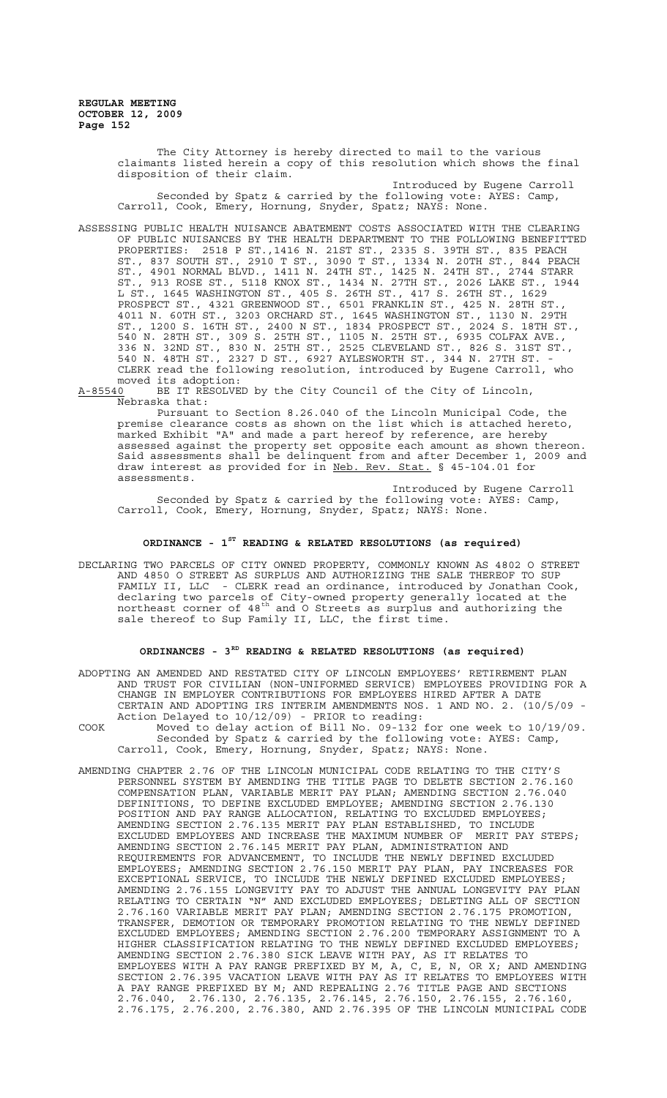> The City Attorney is hereby directed to mail to the various claimants listed herein a copy of this resolution which shows the final disposition of their claim. Introduced by Eugene Carroll Seconded by Spatz & carried by the following vote: AYES: Camp, Carroll, Cook, Emery, Hornung, Snyder, Spatz; NAYS: None.

ASSESSING PUBLIC HEALTH NUISANCE ABATEMENT COSTS ASSOCIATED WITH THE CLEARING OF PUBLIC NUISANCES BY THE HEALTH DEPARTMENT TO THE FOLLOWING BENEFITTED PROPERTIES: 2518 P ST.,1416 N. 21ST ST., 2335 S. 39TH ST., 835 PEACH ST., 837 SOUTH ST., 2910 T ST., 3090 T ST., 1334 N. 20TH ST., 844 PEACH ST., 4901 NORMAL BLVD., 1411 N. 24TH ST., 1425 N. 24TH ST., 2744 STARR ST., 913 ROSE ST., 5118 KNOX ST., 1434 N. 27TH ST., 2026 LAKE ST., 1944 L ST., 1645 WASHINGTON ST., 405 S. 26TH ST., 417 S. 26TH ST., 1629 PROSPECT ST., 4321 GREENWOOD ST., 6501 FRANKLIN ST., 425 N. 28TH ST., 4011 N. 60TH ST., 3203 ORCHARD ST., 1645 WASHINGTON ST., 1130 N. 29TH ST., 1200 S. 16TH ST., 2400 N ST., 1834 PROSPECT ST., 2024 S. 18TH ST., 540 N. 28TH ST., 309 S. 25TH ST., 1105 N. 25TH ST., 6935 COLFAX AVE., 336 N. 32ND ST., 830 N. 25TH ST., 2525 CLEVELAND ST., 826 S. 31ST ST., 540 N. 48TH ST., 2327 D ST., 6927 AYLESWORTH ST., 344 N. 27TH ST. - CLERK read the following resolution, introduced by Eugene Carroll, who

moved its adoption:<br>A-85540 BE IT RESOLVE BE IT RESOLVED by the City Council of the City of Lincoln, Nebraska that:

Pursuant to Section 8.26.040 of the Lincoln Municipal Code, the premise clearance costs as shown on the list which is attached hereto, marked Exhibit "A" and made a part hereof by reference, are hereby assessed against the property set opposite each amount as shown thereon. Said assessments shall be delinquent from and after December 1, 2009 and draw interest as provided for in <u>Neb. Rev. Stat.</u> § 45-104.01 for draw interest as provided for in Neb. Rev. assessments.

Introduced by Eugene Carroll Seconded by Spatz & carried by the following vote: AYES: Camp, Carroll, Cook, Emery, Hornung, Snyder, Spatz; NAYS: None.

# **ORDINANCE - 1ST READING & RELATED RESOLUTIONS (as required)**

DECLARING TWO PARCELS OF CITY OWNED PROPERTY, COMMONLY KNOWN AS 4802 O STREET AND 4850 O STREET AS SURPLUS AND AUTHORIZING THE SALE THEREOF TO SUP FAMILY II, LLC - CLERK read an ordinance, introduced by Jonathan Cook, declaring two parcels of City-owned property generally located at the northeast corner of 48th and O Streets as surplus and authorizing the sale thereof to Sup Family II, LLC, the first time.

## **ORDINANCES - 3RD READING & RELATED RESOLUTIONS (as required)**

- ADOPTING AN AMENDED AND RESTATED CITY OF LINCOLN EMPLOYEES' RETIREMENT PLAN AND TRUST FOR CIVILIAN (NON-UNIFORMED SERVICE) EMPLOYEES PROVIDING FOR A CHANGE IN EMPLOYER CONTRIBUTIONS FOR EMPLOYEES HIRED AFTER A DATE CERTAIN AND ADOPTING IRS INTERIM AMENDMENTS NOS. 1 AND NO. 2. (10/5/09 - Action Delayed to 10/12/09) - PRIOR to reading: COOK Moved to delay action of Bill No. 09-132 for one week to 10/19/09.
- Seconded by Spatz & carried by the following vote: AYES: Camp, Carroll, Cook, Emery, Hornung, Snyder, Spatz; NAYS: None.
- AMENDING CHAPTER 2.76 OF THE LINCOLN MUNICIPAL CODE RELATING TO THE CITY'S PERSONNEL SYSTEM BY AMENDING THE TITLE PAGE TO DELETE SECTION 2.76.160 COMPENSATION PLAN, VARIABLE MERIT PAY PLAN; AMENDING SECTION 2.76.040 DEFINITIONS, TO DEFINE EXCLUDED EMPLOYEE; AMENDING SECTION 2.76.130 POSITION AND PAY RANGE ALLOCATION, RELATING TO EXCLUDED EMPLOYEES; AMENDING SECTION 2.76.135 MERIT PAY PLAN ESTABLISHED, TO INCLUDE EXCLUDED EMPLOYEES AND INCREASE THE MAXIMUM NUMBER OF MERIT PAY STEPS; AMENDING SECTION 2.76.145 MERIT PAY PLAN, ADMINISTRATION AND REQUIREMENTS FOR ADVANCEMENT, TO INCLUDE THE NEWLY DEFINED EXCLUDED EMPLOYEES; AMENDING SECTION 2.76.150 MERIT PAY PLAN, PAY INCREASES FOR EXCEPTIONAL SERVICE, TO INCLUDE THE NEWLY DEFINED EXCLUDED EMPLOYEES; AMENDING 2.76.155 LONGEVITY PAY TO ADJUST THE ANNUAL LONGEVITY PAY PLAN RELATING TO CERTAIN "N" AND EXCLUDED EMPLOYEES; DELETING ALL OF SECTION 2.76.160 VARIABLE MERIT PAY PLAN; AMENDING SECTION 2.76.175 PROMOTION, TRANSFER, DEMOTION OR TEMPORARY PROMOTION RELATING TO THE NEWLY DEFINED EXCLUDED EMPLOYEES; AMENDING SECTION 2.76.200 TEMPORARY ASSIGNMENT TO A HIGHER CLASSIFICATION RELATING TO THE NEWLY DEFINED EXCLUDED EMPLOYEES; AMENDING SECTION 2.76.380 SICK LEAVE WITH PAY, AS IT RELATES TO EMPLOYEES WITH A PAY RANGE PREFIXED BY M, A, C, E, N, OR X; AND AMENDING SECTION 2.76.395 VACATION LEAVE WITH PAY AS IT RELATES TO EMPLOYEES WITH A PAY RANGE PREFIXED BY M; AND REPEALING 2.76 TITLE PAGE AND SECTIONS 2.76.040, 2.76.130, 2.76.135, 2.76.145, 2.76.150, 2.76.155, 2.76.160, 2.76.175, 2.76.200, 2.76.380, AND 2.76.395 OF THE LINCOLN MUNICIPAL CODE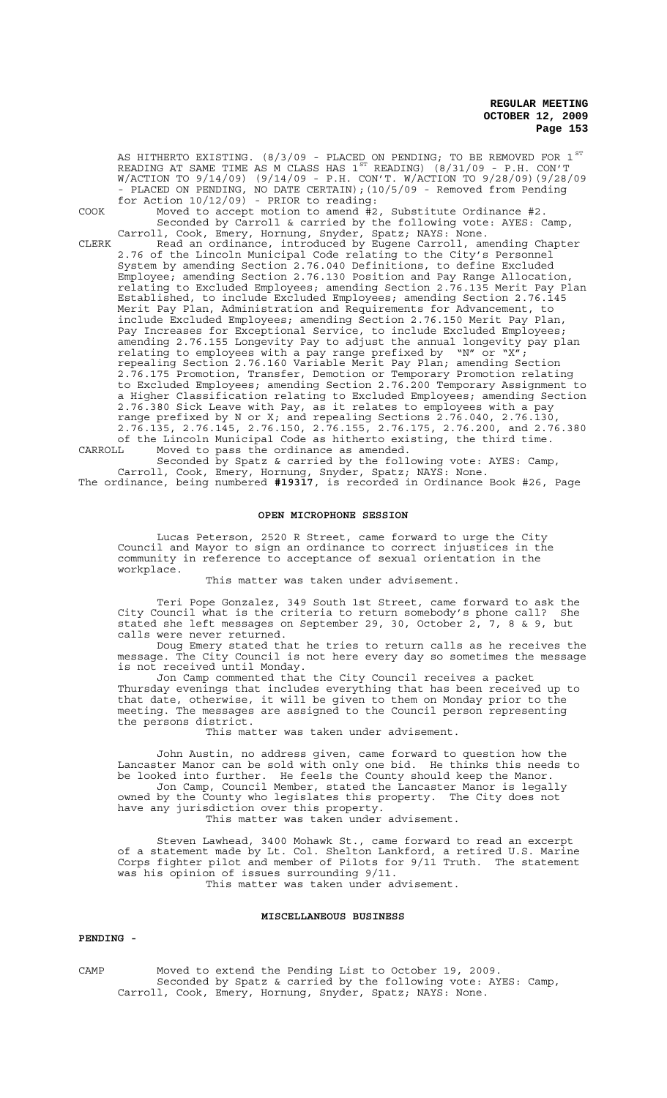AS HITHERTO EXISTING. (8/3/09 - PLACED ON PENDING; TO BE REMOVED FOR 1  $^{\mathrm{ST}}$ READING AT SAME TIME AS M CLASS HAS  $1^{ST}$  READING) (8/31/09 - P.H. CON'T W/ACTION TO 9/14/09) (9/14/09 - P.H. CON'T. W/ACTION TO 9/28/09)(9/28/09 - PLACED ON PENDING, NO DATE CERTAIN);(10/5/09 - Removed from Pending for Action 10/12/09) - PRIOR to reading:

COOK Moved to accept motion to amend #2, Substitute Ordinance #2. Seconded by Carroll & carried by the following vote: AYES: Camp, Carroll, Cook, Emery, Hornung, Snyder, Spatz; NAYS: None.

CLERK Read an ordinance, introduced by Eugene Carroll, amending Chapter 2.76 of the Lincoln Municipal Code relating to the City's Personnel System by amending Section 2.76.040 Definitions, to define Excluded Employee; amending Section 2.76.130 Position and Pay Range Allocation, relating to Excluded Employees; amending Section 2.76.135 Merit Pay Plan Established, to include Excluded Employees; amending Section 2.76.145 Merit Pay Plan, Administration and Requirements for Advancement, to include Excluded Employees; amending Section 2.76.150 Merit Pay Plan, Pay Increases for Exceptional Service, to include Excluded Employees; amending 2.76.155 Longevity Pay to adjust the annual longevity pay plan relating to employees with a pay range prefixed by  $"N"$  or  $"X"$ ; repealing Section 2.76.160 Variable Merit Pay Plan; amending Section 2.76.175 Promotion, Transfer, Demotion or Temporary Promotion relating to Excluded Employees; amending Section 2.76.200 Temporary Assignment to a Higher Classification relating to Excluded Employees; amending Section 2.76.380 Sick Leave with Pay, as it relates to employees with a pay range prefixed by N or X; and repealing Sections 2.76.040, 2.76.130, 2.76.135, 2.76.145, 2.76.150, 2.76.155, 2.76.175, 2.76.200, and 2.76.380 of the Lincoln Municipal Code as hitherto existing, the third time.

CARROLL Moved to pass the ordinance as amended. Seconded by Spatz & carried by the following vote: AYES: Camp, Carroll, Cook, Emery, Hornung, Snyder, Spatz; NAYS: None. The ordinance, being numbered **#19317**, is recorded in Ordinance Book #26, Page

### **OPEN MICROPHONE SESSION**

Lucas Peterson, 2520 R Street, came forward to urge the City Council and Mayor to sign an ordinance to correct injustices in the community in reference to acceptance of sexual orientation in the workplace.

This matter was taken under advisement.

Teri Pope Gonzalez, 349 South 1st Street, came forward to ask the City Council what is the criteria to return somebody's phone call? She stated she left messages on September 29, 30, October 2, 7, 8 & 9, but calls were never returned.

Doug Emery stated that he tries to return calls as he receives the message. The City Council is not here every day so sometimes the message is not received until Monday.

Jon Camp commented that the City Council receives a packet Thursday evenings that includes everything that has been received up to that date, otherwise, it will be given to them on Monday prior to the meeting. The messages are assigned to the Council person representing the persons district.

This matter was taken under advisement.

John Austin, no address given, came forward to question how the Lancaster Manor can be sold with only one bid. He thinks this needs to be looked into further. He feels the County should keep the Manor. Jon Camp, Council Member, stated the Lancaster Manor is legally owned by the County who legislates this property. The City does not have any jurisdiction over this property. This matter was taken under advisement.

Steven Lawhead, 3400 Mohawk St., came forward to read an excerpt of a statement made by Lt. Col. Shelton Lankford, a retired U.S. Marine Corps fighter pilot and member of Pilots for 9/11 Truth. The statement was his opinion of issues surrounding 9/11. This matter was taken under advisement.

### **MISCELLANEOUS BUSINESS**

## **PENDING -**

CAMP Moved to extend the Pending List to October 19, 2009. Seconded by Spatz & carried by the following vote: AYES: Camp, Carroll, Cook, Emery, Hornung, Snyder, Spatz; NAYS: None.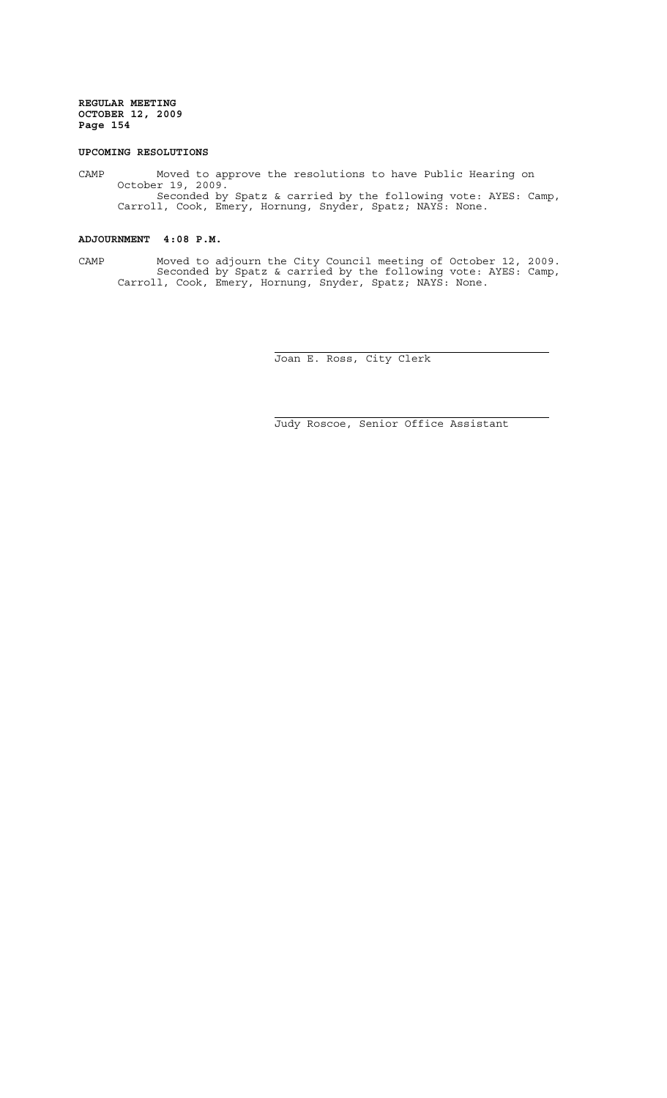### **UPCOMING RESOLUTIONS**

CAMP Moved to approve the resolutions to have Public Hearing on October 19, 2009. Seconded by Spatz & carried by the following vote: AYES: Camp, Carroll, Cook, Emery, Hornung, Snyder, Spatz; NAYS: None.

# **ADJOURNMENT 4:08 P.M.**

CAMP Moved to adjourn the City Council meeting of October 12, 2009. Seconded by Spatz & carried by the following vote: AYES: Camp, Carroll, Cook, Emery, Hornung, Snyder, Spatz; NAYS: None.

 $\overline{a}$ 

i

Joan E. Ross, City Clerk

Judy Roscoe, Senior Office Assistant